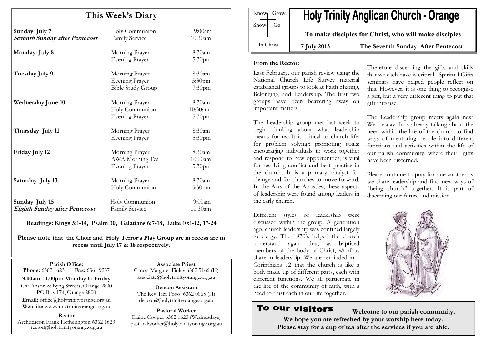# This Week's Diary

| Sunday July 7<br><b>Seventh Sunday after Pentecost</b> | Holy Communion<br>Family Service                                    | $9:00$ am<br>10:30am          |
|--------------------------------------------------------|---------------------------------------------------------------------|-------------------------------|
| Monday July 8                                          | Morning Prayer<br><b>Evening Prayer</b>                             | 8:30am<br>5:30pm              |
| Tuesday July 9                                         | Morning Prayer<br><b>Evening Prayer</b><br><b>Bible Study Group</b> | 8:30am<br>5:30pm<br>$7:30$ pm |
| <b>Wednesday June 10</b>                               | Morning Prayer<br>Holy Communion<br><b>Evening Prayer</b>           | 8:30am<br>10:30am<br>5:30pm   |
| Thursday July 11                                       | Morning Prayer<br><b>Evening Prayer</b>                             | 8:30am<br>5:30 <sub>pm</sub>  |
| Friday July 12                                         | Morning Prayer<br>AWA Morning Tea<br><b>Evening Prayer</b>          | 8:30am<br>10:00am<br>5:30pm   |
| Saturday July 13                                       | Morning Prayer<br>Holy Communion                                    | 8:30am<br>5:30 <sub>pm</sub>  |
| Sunday July 15<br><b>Eighth Sunday after Pentecost</b> | Holy Communion<br>Family Service                                    | $9:00$ am<br>10:30am          |

Readings: Kings 5:1-14, Psalm 30, Galatians 6:7-18, Luke 10:1-12, 17-24

Please note that the Choir and Holy Terror's Play Group are in recess are in recess until July 17 & 18 respectively.

Parish Office: Fax: 6361 9237 **Phone:** 6362 1623

9.00am - 1.00pm Monday to Friday Cnr Anson & Byng Streets, Orange 2800 PO Box 174, Orange 2800

Email: office@holytrinityorange.org.au Website: www.holytrinityorange.org.au

#### Rector

Archdeacon Frank Hetherington 6362 1623 rector@holytrinityorange.org.au

Associate Priest

 Canon Margaret Finlay 6362 5166 (H) associate@holytrinityorange.org.au

Deacon Assistant The Rev Tim Fogo 6362 0065 (H) deacon@holytrinityorange.org.au

Pastoral Worker Elaine Cooper 6362 1623 (Wednesdays) pastoralworker@holytrinityorange.org.au

**Holy Trinity Anglican Church - Orange** Know<sub>l</sub> Grow  $Show \mid Go$ To make disciples for Christ, who will make disciples In Christ 7 July 2013 The Seventh Sunday After Pentecost

#### From the Rector:

Last February, our parish review using the National Church Life Survey material established groups to look at Faith Sharing, Belonging, and Leadership. The first two groups have been beavering away on important matters.

The Leadership group met last week to begin thinking about what leadership means for us. It is critical to church life; for problem solving; promoting goals; encouraging individuals to work together and respond to new opportunities; is vital for resolving conflict and best practice in the church. It is a primary catalyst for change and for churches to move forward. In the Acts of the Apostles, these aspects of leadership were found among leaders in the early church.

Different styles of leadership were discussed within the group. A generation ago, church leadership was confined largely to clergy. The 1970's helped the church understand again that, as baptised members of the body of Christ, all of us share in leadership. We are reminded in 1 Corinthians 12 that the church is like a body made up of different parts, each with different functions. We all participate in the life of the community of faith, with a need to trust each in our life together.

# To our visitors

Welcome to our parish community. We hope you are refreshed by your worship here today. Please stay for a cup of tea after the services if you are able.

Therefore discerning the gifts and skills that we each have is critical. Spiritual Gifts seminars have helped people reflect on this. However, it is one thing to recognise a gift, but a very different thing to put that gift into use.

The Leadership group meets again next Wednesday. It is already talking about the need within the life of the church to find ways of mentoring people into different functions and activities within the life of our parish community, where their gifts have been discerned.

Please continue to pray for one another as we share leadership and find new ways of "being church" together. It is part of discerning our future and mission.